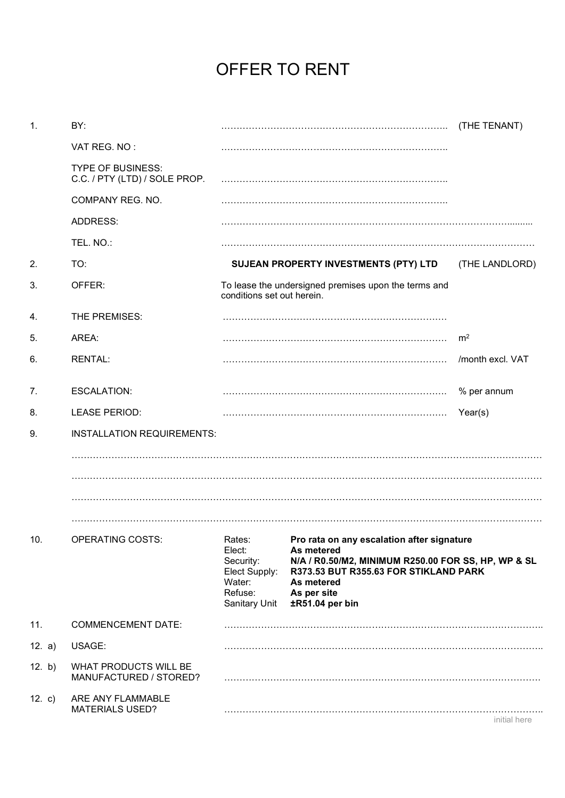## OFFER TO RENT

| $\mathbf{1}$ . | BY:                                                       |                                                                                      |                                                                                                                                                                                                          | (THE TENANT)     |  |
|----------------|-----------------------------------------------------------|--------------------------------------------------------------------------------------|----------------------------------------------------------------------------------------------------------------------------------------------------------------------------------------------------------|------------------|--|
|                | VAT REG. NO:                                              |                                                                                      |                                                                                                                                                                                                          |                  |  |
|                | <b>TYPE OF BUSINESS:</b><br>C.C. / PTY (LTD) / SOLE PROP. |                                                                                      |                                                                                                                                                                                                          |                  |  |
|                | COMPANY REG. NO.                                          |                                                                                      |                                                                                                                                                                                                          |                  |  |
|                | ADDRESS:                                                  |                                                                                      |                                                                                                                                                                                                          |                  |  |
|                | TEL. NO.:                                                 |                                                                                      |                                                                                                                                                                                                          |                  |  |
| 2.             | TO:                                                       |                                                                                      | SUJEAN PROPERTY INVESTMENTS (PTY) LTD                                                                                                                                                                    | (THE LANDLORD)   |  |
| 3.             | OFFER:                                                    | To lease the undersigned premises upon the terms and<br>conditions set out herein.   |                                                                                                                                                                                                          |                  |  |
| 4.             | THE PREMISES:                                             |                                                                                      |                                                                                                                                                                                                          |                  |  |
| 5.             | AREA:                                                     |                                                                                      |                                                                                                                                                                                                          | m <sup>2</sup>   |  |
| 6.             | <b>RENTAL:</b>                                            |                                                                                      |                                                                                                                                                                                                          | /month excl. VAT |  |
| 7.             | <b>ESCALATION:</b>                                        |                                                                                      |                                                                                                                                                                                                          | % per annum      |  |
| 8.             | <b>LEASE PERIOD:</b>                                      |                                                                                      |                                                                                                                                                                                                          | Year(s)          |  |
| 9.             | <b>INSTALLATION REQUIREMENTS:</b>                         |                                                                                      |                                                                                                                                                                                                          |                  |  |
|                |                                                           |                                                                                      |                                                                                                                                                                                                          |                  |  |
|                |                                                           |                                                                                      |                                                                                                                                                                                                          |                  |  |
|                |                                                           |                                                                                      |                                                                                                                                                                                                          |                  |  |
|                |                                                           |                                                                                      |                                                                                                                                                                                                          |                  |  |
| 10.            | <b>OPERATING COSTS:</b>                                   | Rates:<br>Elect:<br>Security:<br>Elect Supply:<br>Water:<br>Refuse:<br>Sanitary Unit | Pro rata on any escalation after signature<br>As metered<br>N/A / R0.50/M2, MINIMUM R250.00 FOR SS, HP, WP & SL<br>R373.53 BUT R355.63 FOR STIKLAND PARK<br>As metered<br>As per site<br>±R51.04 per bin |                  |  |
| 11.            | <b>COMMENCEMENT DATE:</b>                                 |                                                                                      |                                                                                                                                                                                                          |                  |  |
| 12. $a)$       | USAGE:                                                    |                                                                                      |                                                                                                                                                                                                          |                  |  |
| 12. b)         | WHAT PRODUCTS WILL BE<br>MANUFACTURED / STORED?           |                                                                                      |                                                                                                                                                                                                          |                  |  |
| 12. $c)$       | ARE ANY FLAMMABLE<br><b>MATERIALS USED?</b>               |                                                                                      |                                                                                                                                                                                                          | initial here     |  |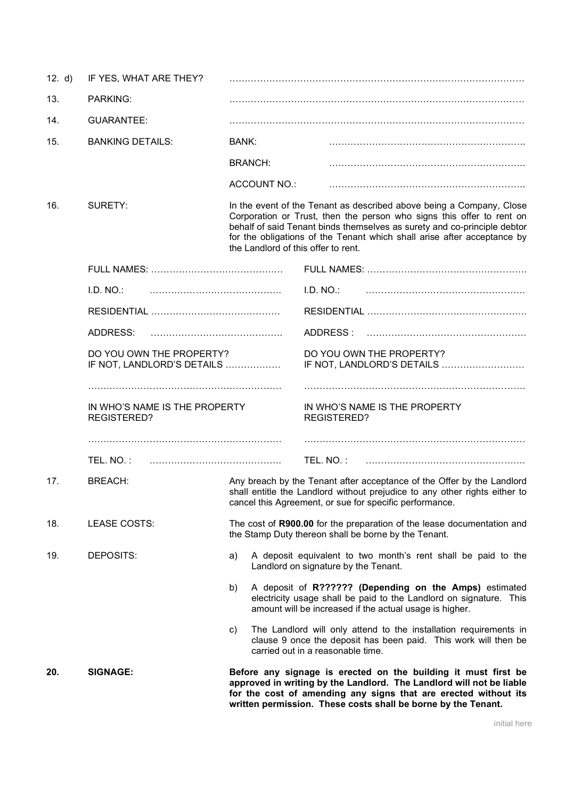| 20.    | <b>SIGNAGE:</b>                                     |                                     | Before any signage is erected on the building it must first be<br>approved in writing by the Landlord. The Landlord will not be liable<br>for the cost of amending any signs that are erected without its<br>written permission. These costs shall be borne by the Tenant. |
|--------|-----------------------------------------------------|-------------------------------------|----------------------------------------------------------------------------------------------------------------------------------------------------------------------------------------------------------------------------------------------------------------------------|
|        |                                                     | C)                                  | The Landlord will only attend to the installation requirements in<br>clause 9 once the deposit has been paid. This work will then be<br>carried out in a reasonable time.                                                                                                  |
|        |                                                     | b)                                  | A deposit of R?????? (Depending on the Amps) estimated<br>electricity usage shall be paid to the Landlord on signature. This<br>amount will be increased if the actual usage is higher.                                                                                    |
| 19.    | DEPOSITS:                                           | a)                                  | A deposit equivalent to two month's rent shall be paid to the<br>Landlord on signature by the Tenant.                                                                                                                                                                      |
| 18.    | LEASE COSTS:                                        |                                     | The cost of R900.00 for the preparation of the lease documentation and<br>the Stamp Duty thereon shall be borne by the Tenant.                                                                                                                                             |
| 17.    | <b>BREACH:</b>                                      |                                     | Any breach by the Tenant after acceptance of the Offer by the Landlord<br>shall entitle the Landlord without prejudice to any other rights either to<br>cancel this Agreement, or sue for specific performance.                                                            |
|        | TEL. NO.:                                           |                                     | TEL. NO.:                                                                                                                                                                                                                                                                  |
|        | IN WHO'S NAME IS THE PROPERTY<br><b>REGISTERED?</b> |                                     | IN WHO'S NAME IS THE PROPERTY<br><b>REGISTERED?</b>                                                                                                                                                                                                                        |
|        | IF NOT, LANDLORD'S DETAILS                          |                                     | IF NOT, LANDLORD'S DETAILS                                                                                                                                                                                                                                                 |
|        | DO YOU OWN THE PROPERTY?                            |                                     | DO YOU OWN THE PROPERTY?                                                                                                                                                                                                                                                   |
|        | ADDRESS:                                            |                                     | ADDRESS:                                                                                                                                                                                                                                                                   |
|        | I.D. NO.                                            |                                     | I.D. NO.                                                                                                                                                                                                                                                                   |
|        |                                                     |                                     |                                                                                                                                                                                                                                                                            |
|        |                                                     | the Landlord of this offer to rent. | for the obligations of the Tenant which shall arise after acceptance by                                                                                                                                                                                                    |
| 16.    | SURETY:                                             |                                     | In the event of the Tenant as described above being a Company, Close<br>Corporation or Trust, then the person who signs this offer to rent on<br>behalf of said Tenant binds themselves as surety and co-principle debtor                                                  |
|        |                                                     | <b>ACCOUNT NO.:</b>                 |                                                                                                                                                                                                                                                                            |
|        |                                                     | <b>BRANCH:</b>                      |                                                                                                                                                                                                                                                                            |
| 15.    | <b>BANKING DETAILS:</b>                             | BANK:                               |                                                                                                                                                                                                                                                                            |
| 14.    | <b>GUARANTEE:</b>                                   |                                     |                                                                                                                                                                                                                                                                            |
| 13.    | PARKING:                                            |                                     |                                                                                                                                                                                                                                                                            |
| 12. d) | IF YES, WHAT ARE THEY?                              |                                     |                                                                                                                                                                                                                                                                            |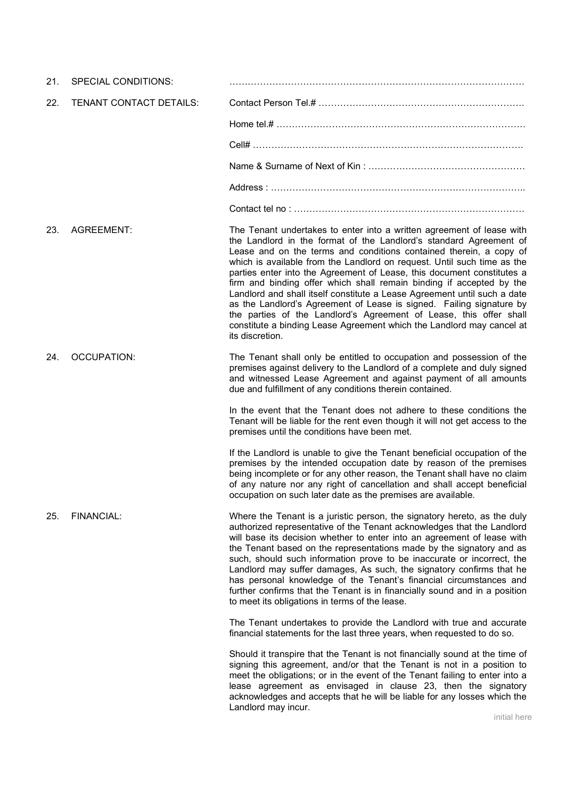| 21. | <b>SPECIAL CONDITIONS:</b> |                                                                                                                                                                                                                                                                                                                                                                                                                                                                                                                                                                                                                                                                                                                                                                      |
|-----|----------------------------|----------------------------------------------------------------------------------------------------------------------------------------------------------------------------------------------------------------------------------------------------------------------------------------------------------------------------------------------------------------------------------------------------------------------------------------------------------------------------------------------------------------------------------------------------------------------------------------------------------------------------------------------------------------------------------------------------------------------------------------------------------------------|
| 22. | TENANT CONTACT DETAILS:    |                                                                                                                                                                                                                                                                                                                                                                                                                                                                                                                                                                                                                                                                                                                                                                      |
|     |                            |                                                                                                                                                                                                                                                                                                                                                                                                                                                                                                                                                                                                                                                                                                                                                                      |
|     |                            |                                                                                                                                                                                                                                                                                                                                                                                                                                                                                                                                                                                                                                                                                                                                                                      |
|     |                            |                                                                                                                                                                                                                                                                                                                                                                                                                                                                                                                                                                                                                                                                                                                                                                      |
|     |                            |                                                                                                                                                                                                                                                                                                                                                                                                                                                                                                                                                                                                                                                                                                                                                                      |
|     |                            |                                                                                                                                                                                                                                                                                                                                                                                                                                                                                                                                                                                                                                                                                                                                                                      |
| 23. | <b>AGREEMENT:</b>          | The Tenant undertakes to enter into a written agreement of lease with<br>the Landlord in the format of the Landlord's standard Agreement of<br>Lease and on the terms and conditions contained therein, a copy of<br>which is available from the Landlord on request. Until such time as the<br>parties enter into the Agreement of Lease, this document constitutes a<br>firm and binding offer which shall remain binding if accepted by the<br>Landlord and shall itself constitute a Lease Agreement until such a date<br>as the Landlord's Agreement of Lease is signed. Failing signature by<br>the parties of the Landlord's Agreement of Lease, this offer shall<br>constitute a binding Lease Agreement which the Landlord may cancel at<br>its discretion. |
| 24. | <b>OCCUPATION:</b>         | The Tenant shall only be entitled to occupation and possession of the<br>premises against delivery to the Landlord of a complete and duly signed<br>and witnessed Lease Agreement and against payment of all amounts<br>due and fulfillment of any conditions therein contained.                                                                                                                                                                                                                                                                                                                                                                                                                                                                                     |
|     |                            | In the event that the Tenant does not adhere to these conditions the<br>Tenant will be liable for the rent even though it will not get access to the<br>premises until the conditions have been met.                                                                                                                                                                                                                                                                                                                                                                                                                                                                                                                                                                 |
|     |                            | If the Landlord is unable to give the Tenant beneficial occupation of the<br>premises by the intended occupation date by reason of the premises<br>being incomplete or for any other reason, the Tenant shall have no claim<br>of any nature nor any right of cancellation and shall accept beneficial<br>occupation on such later date as the premises are available.                                                                                                                                                                                                                                                                                                                                                                                               |
| 25. | FINANCIAL:                 | Where the Tenant is a juristic person, the signatory hereto, as the duly<br>authorized representative of the Tenant acknowledges that the Landlord<br>will base its decision whether to enter into an agreement of lease with<br>the Tenant based on the representations made by the signatory and as<br>such, should such information prove to be inaccurate or incorrect, the<br>Landlord may suffer damages, As such, the signatory confirms that he<br>has personal knowledge of the Tenant's financial circumstances and<br>further confirms that the Tenant is in financially sound and in a position<br>to meet its obligations in terms of the lease.                                                                                                        |
|     |                            | The Tenant undertakes to provide the Landlord with true and accurate<br>financial statements for the last three years, when requested to do so.                                                                                                                                                                                                                                                                                                                                                                                                                                                                                                                                                                                                                      |
|     |                            | Should it transpire that the Tenant is not financially sound at the time of<br>signing this agreement, and/or that the Tenant is not in a position to<br>meet the obligations; or in the event of the Tenant failing to enter into a<br>lease agreement as envisaged in clause 23, then the signatory<br>acknowledges and accepts that he will be liable for any losses which the<br>Landlord may incur.                                                                                                                                                                                                                                                                                                                                                             |